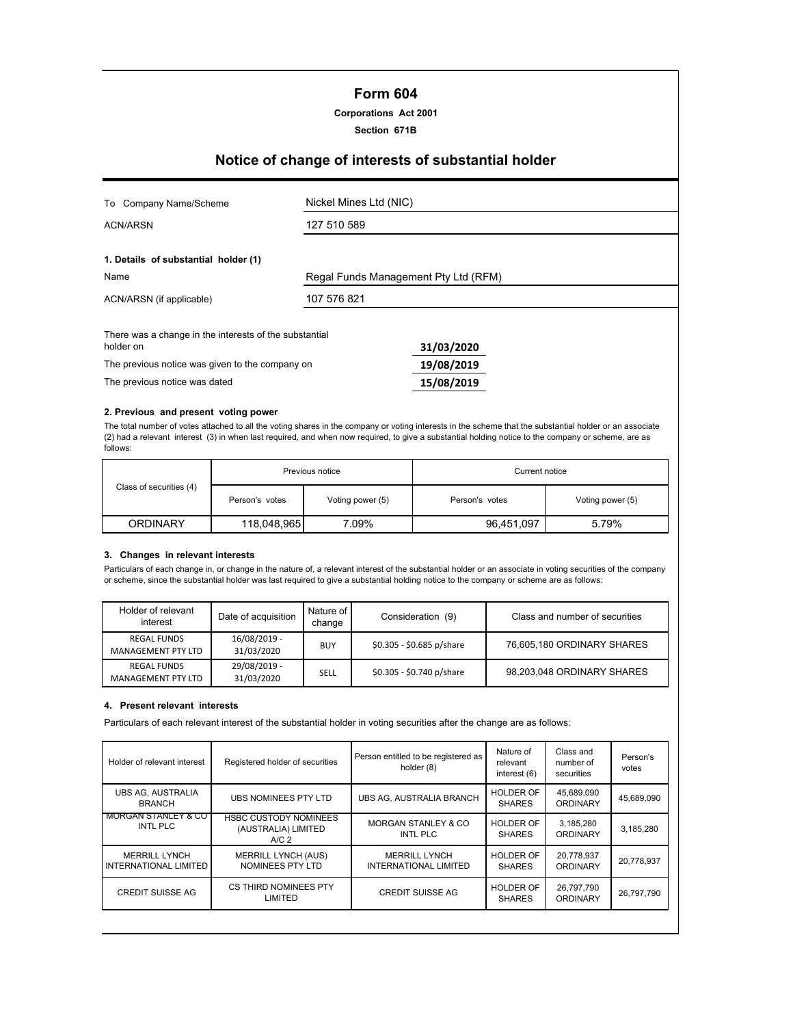# **Form 604**

### **Corporations Act 2001**

**Section 671B**

# **Notice of change of interests of substantial holder**

| Company Name/Scheme<br>To                                           | Nickel Mines Ltd (NIC)               |            |  |
|---------------------------------------------------------------------|--------------------------------------|------------|--|
| ACN/ARSN                                                            | 127 510 589                          |            |  |
| 1. Details of substantial holder (1)                                |                                      |            |  |
| Name                                                                | Regal Funds Management Pty Ltd (RFM) |            |  |
| ACN/ARSN (if applicable)                                            | 107 576 821                          |            |  |
| There was a change in the interests of the substantial<br>holder on |                                      | 31/03/2020 |  |
| The previous notice was given to the company on                     |                                      | 19/08/2019 |  |
| The previous notice was dated                                       |                                      | 15/08/2019 |  |

#### **2. Previous and present voting power**

The total number of votes attached to all the voting shares in the company or voting interests in the scheme that the substantial holder or an associate (2) had a relevant interest (3) in when last required, and when now required, to give a substantial holding notice to the company or scheme, are as follows:

|                         | Previous notice |                  | Current notice |                  |  |
|-------------------------|-----------------|------------------|----------------|------------------|--|
| Class of securities (4) | Person's votes  | Voting power (5) | Person's votes | Voting power (5) |  |
| <b>ORDINARY</b>         | 118,048,965     | 7.09%            | 96,451,097     | 5.79%            |  |

## **3. Changes in relevant interests**

Particulars of each change in, or change in the nature of, a relevant interest of the substantial holder or an associate in voting securities of the company or scheme, since the substantial holder was last required to give a substantial holding notice to the company or scheme are as follows:

| Holder of relevant<br>interest           | Date of acquisition        | Nature of<br>change | Consideration (9)         | Class and number of securities |
|------------------------------------------|----------------------------|---------------------|---------------------------|--------------------------------|
| <b>REGAL FUNDS</b><br>MANAGEMENT PTY LTD | 16/08/2019 -<br>31/03/2020 | <b>BUY</b>          | \$0.305 - \$0.685 p/share | 76,605,180 ORDINARY SHARES     |
| <b>REGAL FUNDS</b><br>MANAGEMENT PTY LTD | 29/08/2019 -<br>31/03/2020 | SELL                | \$0.305 - \$0.740 p/share | 98.203.048 ORDINARY SHARES     |

#### **4. Present relevant interests**

Particulars of each relevant interest of the substantial holder in voting securities after the change are as follows:

| Holder of relevant interest                          | Registered holder of securities                                         | Person entitled to be registered as<br>holder (8) | Nature of<br>relevant<br>interest (6) | Class and<br>number of<br>securities | Person's<br>votes |
|------------------------------------------------------|-------------------------------------------------------------------------|---------------------------------------------------|---------------------------------------|--------------------------------------|-------------------|
| UBS AG, AUSTRALIA<br><b>BRANCH</b>                   | UBS NOMINEES PTY LTD                                                    | UBS AG. AUSTRALIA BRANCH                          | <b>HOLDER OF</b><br><b>SHARES</b>     | 45,689,090<br>ORDINARY               | 45,689,090        |
| MORGAN STANLEY & CO<br>INTL PLC                      | <b>HSBC CUSTODY NOMINEES</b><br>(AUSTRALIA) LIMITED<br>A/C <sub>2</sub> | MORGAN STANLEY & CO<br>INTL PLC                   | <b>HOLDER OF</b><br><b>SHARES</b>     | 3,185,280<br>ORDINARY                | 3,185,280         |
| <b>MERRILL LYNCH</b><br><b>INTERNATIONAL LIMITED</b> | <b>MERRILL LYNCH (AUS)</b><br>NOMINEES PTY LTD                          | <b>MERRILL LYNCH</b><br>INTERNATIONAL LIMITED     | <b>HOLDER OF</b><br><b>SHARES</b>     | 20,778,937<br><b>ORDINARY</b>        | 20,778,937        |
| <b>CREDIT SUISSE AG</b>                              | CS THIRD NOMINEES PTY<br>LIMITED                                        | <b>CREDIT SUISSE AG</b>                           | <b>HOLDER OF</b><br><b>SHARES</b>     | 26.797.790<br><b>ORDINARY</b>        | 26,797,790        |